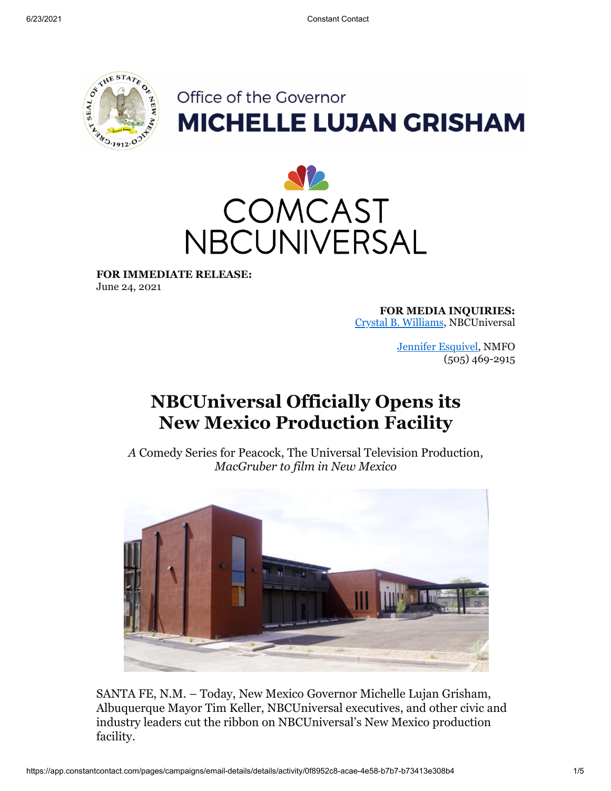

# Office of the Governor **MICHELLE LUJAN GRISHAM**



**FOR IMMEDIATE RELEASE:** June 24, 2021

> **FOR MEDIA INQUIRIES:** [Crystal B. Williams](mailto:Crystal.Williams2@nbcuni.com), NBCUniversal

> > [Jennifer Esquivel](mailto:jennifer@nmfilm.com), NMFO (505) 469-2915

## **NBCUniversal Officially Opens its New Mexico Production Facility**

*A* Comedy Series for Peacock, The Universal Television Production, *MacGruber to film in New Mexico*



SANTA FE, N.M. – Today, New Mexico Governor Michelle Lujan Grisham, Albuquerque Mayor Tim Keller, NBCUniversal executives, and other civic and industry leaders cut the ribbon on NBCUniversal's New Mexico production facility.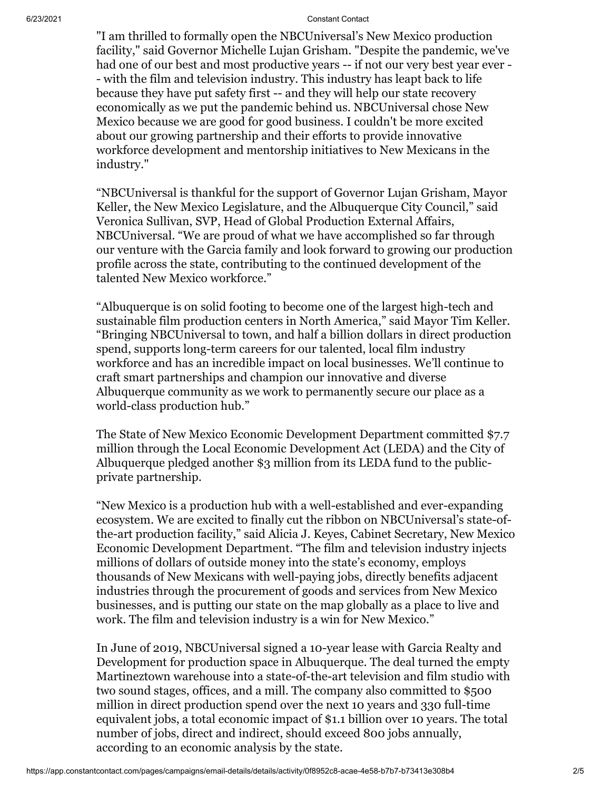#### 6/23/2021 Constant Contact

"I am thrilled to formally open the NBCUniversal's New Mexico production facility," said Governor Michelle Lujan Grisham. "Despite the pandemic, we've had one of our best and most productive years -- if not our very best year ever - - with the film and television industry. This industry has leapt back to life because they have put safety first -- and they will help our state recovery economically as we put the pandemic behind us. NBCUniversal chose New Mexico because we are good for good business. I couldn't be more excited about our growing partnership and their efforts to provide innovative workforce development and mentorship initiatives to New Mexicans in the industry."

"NBCUniversal is thankful for the support of Governor Lujan Grisham, Mayor Keller, the New Mexico Legislature, and the Albuquerque City Council," said Veronica Sullivan, SVP, Head of Global Production External Affairs, NBCUniversal. "We are proud of what we have accomplished so far through our venture with the Garcia family and look forward to growing our production profile across the state, contributing to the continued development of the talented New Mexico workforce."

"Albuquerque is on solid footing to become one of the largest high-tech and sustainable film production centers in North America," said Mayor Tim Keller. "Bringing NBCUniversal to town, and half a billion dollars in direct production spend, supports long-term careers for our talented, local film industry workforce and has an incredible impact on local businesses. We'll continue to craft smart partnerships and champion our innovative and diverse Albuquerque community as we work to permanently secure our place as a world-class production hub."

The State of New Mexico Economic Development Department committed \$7.7 million through the Local Economic Development Act (LEDA) and the City of Albuquerque pledged another \$3 million from its LEDA fund to the publicprivate partnership.

"New Mexico is a production hub with a well-established and ever-expanding ecosystem. We are excited to finally cut the ribbon on NBCUniversal's state-ofthe-art production facility," said Alicia J. Keyes, Cabinet Secretary, New Mexico Economic Development Department. "The film and television industry injects millions of dollars of outside money into the state's economy, employs thousands of New Mexicans with well-paying jobs, directly benefits adjacent industries through the procurement of goods and services from New Mexico businesses, and is putting our state on the map globally as a place to live and work. The film and television industry is a win for New Mexico."

In June of 2019, NBCUniversal signed a 10-year lease with Garcia Realty and Development for production space in Albuquerque. The deal turned the empty Martineztown warehouse into a state-of-the-art television and film studio with two sound stages, offices, and a mill. The company also committed to \$500 million in direct production spend over the next 10 years and 330 full-time equivalent jobs, a total economic impact of \$1.1 billion over 10 years. The total number of jobs, direct and indirect, should exceed 800 jobs annually, according to an economic analysis by the state.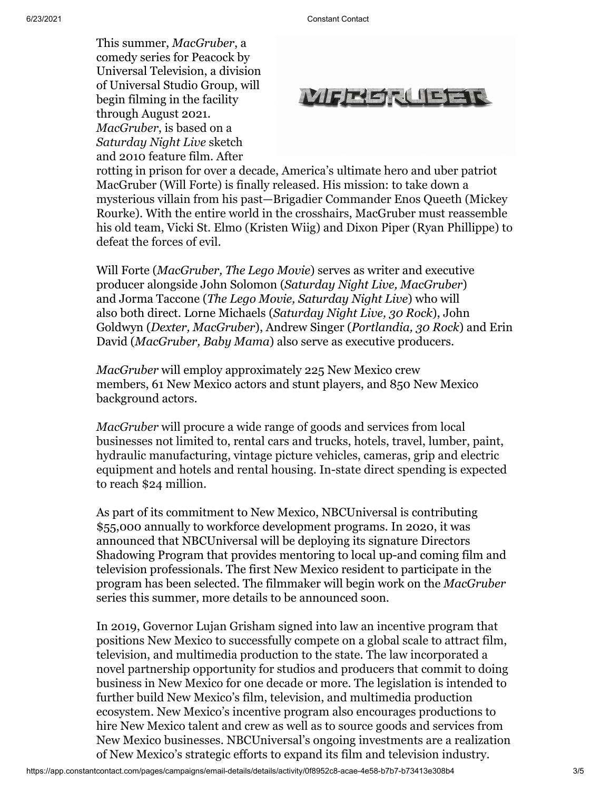This summer, *MacGruber*, a comedy series for Peacock by Universal Television, a division of Universal Studio Group, will begin filming in the facility through August 2021. *MacGruber*, is based on a *Saturday Night Live* sketch and 2010 feature film. After



rotting in prison for over a decade, America's ultimate hero and uber patriot MacGruber (Will Forte) is finally released. His mission: to take down a mysterious villain from his past—Brigadier Commander Enos Queeth (Mickey Rourke). With the entire world in the crosshairs, MacGruber must reassemble his old team, Vicki St. Elmo (Kristen Wiig) and Dixon Piper (Ryan Phillippe) to defeat the forces of evil.

Will Forte (*MacGruber, The Lego Movie*) serves as writer and executive producer alongside John Solomon (*Saturday Night Live, MacGruber*) and Jorma Taccone (*The Lego Movie, Saturday Night Live*) who will also both direct. Lorne Michaels (*Saturday Night Live, 30 Rock*), John Goldwyn (*Dexter, MacGruber*), Andrew Singer (*Portlandia, 30 Rock*) and Erin David (*MacGruber, Baby Mama*) also serve as executive producers.

*MacGruber* will employ approximately 225 New Mexico crew members, 61 New Mexico actors and stunt players, and 850 New Mexico background actors.

*MacGruber* will procure a wide range of goods and services from local businesses not limited to, rental cars and trucks, hotels, travel, lumber, paint, hydraulic manufacturing, vintage picture vehicles, cameras, grip and electric equipment and hotels and rental housing. In-state direct spending is expected to reach \$24 million.

As part of its commitment to New Mexico, NBCUniversal is contributing \$55,000 annually to workforce development programs. In 2020, it was announced that NBCUniversal will be deploying its signature Directors Shadowing Program that provides mentoring to local up-and coming film and television professionals. The first New Mexico resident to participate in the program has been selected. The filmmaker will begin work on the *MacGruber* series this summer, more details to be announced soon.

In 2019, Governor Lujan Grisham signed into law an incentive program that positions New Mexico to successfully compete on a global scale to attract film, television, and multimedia production to the state. The law incorporated a novel partnership opportunity for studios and producers that commit to doing business in New Mexico for one decade or more. The legislation is intended to further build New Mexico's film, television, and multimedia production ecosystem. New Mexico's incentive program also encourages productions to hire New Mexico talent and crew as well as to source goods and services from New Mexico businesses. NBCUniversal's ongoing investments are a realization of New Mexico's strategic efforts to expand its film and television industry.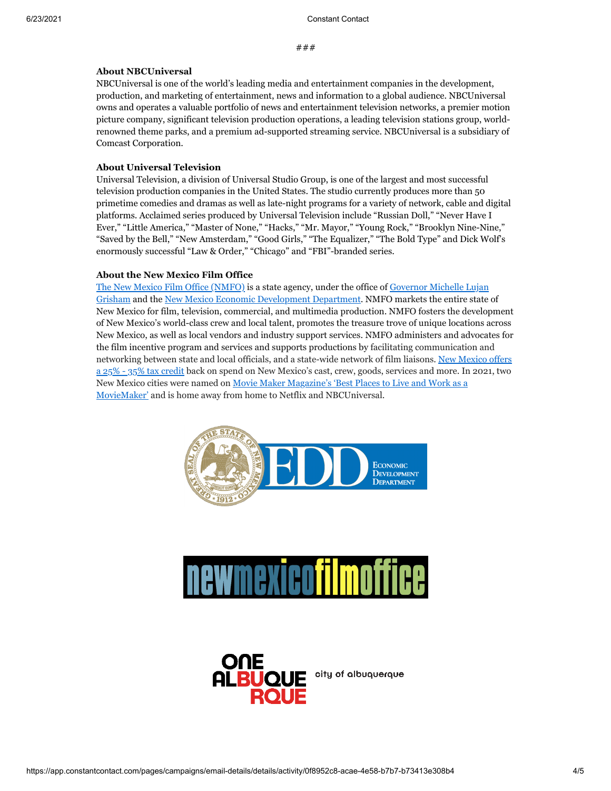###

#### **About NBCUniversal**

NBCUniversal is one of the world's leading media and entertainment companies in the development, production, and marketing of entertainment, news and information to a global audience. NBCUniversal owns and operates a valuable portfolio of news and entertainment television networks, a premier motion picture company, significant television production operations, a leading television stations group, worldrenowned theme parks, and a premium ad-supported streaming service. NBCUniversal is a subsidiary of Comcast Corporation.

#### **About Universal Television**

Universal Television, a division of Universal Studio Group, is one of the largest and most successful television production companies in the United States. The studio currently produces more than 50 primetime comedies and dramas as well as late-night programs for a variety of network, cable and digital platforms. Acclaimed series produced by Universal Television include "Russian Doll," "Never Have I Ever," "Little America," "Master of None," "Hacks," "Mr. Mayor," "Young Rock," "Brooklyn Nine-Nine," "Saved by the Bell," "New Amsterdam," "Good Girls," "The Equalizer," "The Bold Type" and Dick Wolf's enormously successful "Law & Order," "Chicago" and "FBI"-branded series.

#### **About the New Mexico Film Office**

[The New Mexico Film Office \(NMFO\)](https://nmfilm.com/) is a state agency, under the office of Governor Michelle Lujan [Grisham and the New Mexico Economic Development Department. NMFO markets the entire state](https://www.governor.state.nm.us/our-leadership/governor/) of New Mexico for film, television, commercial, and multimedia production. NMFO fosters the development of New Mexico's world-class crew and local talent, promotes the treasure trove of unique locations across New Mexico, as well as local vendors and industry support services. NMFO administers and advocates for the film incentive program and services and supports productions by facilitating communication and [networking between state and local officials, and a state-wide network of film liaisons. New Mexico offers](https://www.tax.newmexico.gov/wp-content/uploads/sites/6/2020/10/FYI-370__Information-Regarding-Film-Production-Tax-Credits-10.21.pdf) a 25% - 35% tax credit back on spend on New Mexico's cast, crew, goods, services and more. In 2021, two [New Mexico cities were named on Movie Maker Magazine's 'Best Places to Live and Work as a](https://www.moviemaker.com/best-places-to-live-and-work-as-a-moviemaker-2021/) MovieMaker' and is home away from home to Netflix and NBCUniversal.